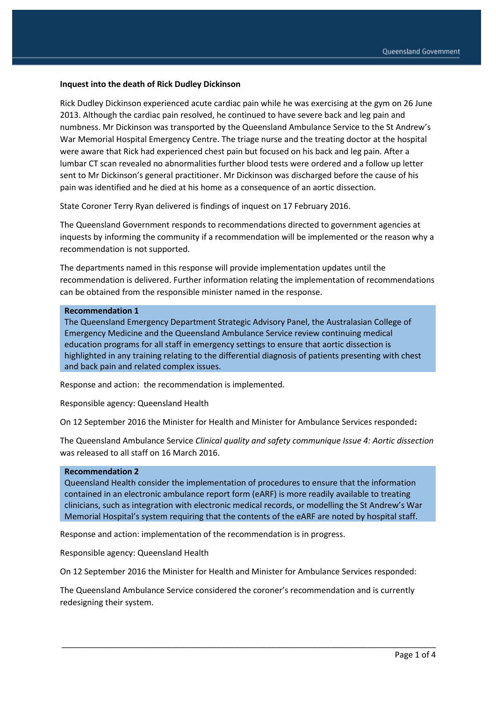#### **Inquest into the death of Rick Dudley Dickinson**

Rick Dudley Dickinson experienced acute cardiac pain while he was exercising at the gym on 26 June 2013. Although the cardiac pain resolved, he continued to have severe back and leg pain and numbness. Mr Dickinson was transported by the Queensland Ambulance Service to the St Andrew's War Memorial Hospital Emergency Centre. The triage nurse and the treating doctor at the hospital were aware that Rick had experienced chest pain but focused on his back and leg pain. After a lumbar CT scan revealed no abnormalities further blood tests were ordered and a follow up letter sent to Mr Dickinson's general practitioner. Mr Dickinson was discharged before the cause of his pain was identified and he died at his home as a consequence of an aortic dissection.

State Coroner Terry Ryan delivered is findings of inquest on 17 February 2016.

The Queensland Government responds to recommendations directed to government agencies at inquests by informing the community if a recommendation will be implemented or the reason why a recommendation is not supported.

The departments named in this response will provide implementation updates until the recommendation is delivered. Further information relating the implementation of recommendations can be obtained from the responsible minister named in the response.

#### **Recommendation 1**

The Queensland Emergency Department Strategic Advisory Panel, the Australasian College of Emergency Medicine and the Queensland Ambulance Service review continuing medical education programs for all staff in emergency settings to ensure that aortic dissection is highlighted in any training relating to the differential diagnosis of patients presenting with chest and back pain and related complex issues.

Response and action: the recommendation is implemented.

Responsible agency: Queensland Health

On 12 September 2016 the Minister for Health and Minister for Ambulance Services responded**:** 

The Queensland Ambulance Service *Clinical quality and safety communique Issue 4: Aortic dissection*  was released to all staff on 16 March 2016.

#### **Recommendation 2**

Queensland Health consider the implementation of procedures to ensure that the information contained in an electronic ambulance report form (eARF) is more readily available to treating clinicians, such as integration with electronic medical records, or modelling the St Andrew's War Memorial Hospital's system requiring that the contents of the eARF are noted by hospital staff.

Response and action: implementation of the recommendation is in progress.

Responsible agency: Queensland Health

On 12 September 2016 the Minister for Health and Minister for Ambulance Services responded:

The Queensland Ambulance Service considered the coroner's recommendation and is currently redesigning their system.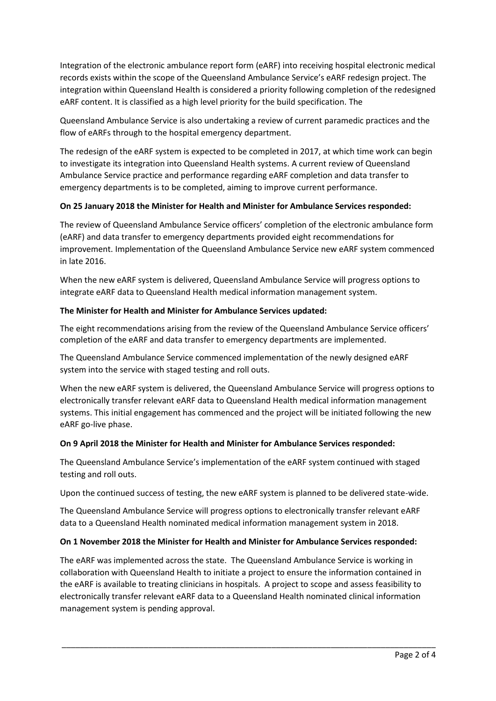Integration of the electronic ambulance report form (eARF) into receiving hospital electronic medical records exists within the scope of the Queensland Ambulance Service's eARF redesign project. The integration within Queensland Health is considered a priority following completion of the redesigned eARF content. It is classified as a high level priority for the build specification. The

Queensland Ambulance Service is also undertaking a review of current paramedic practices and the flow of eARFs through to the hospital emergency department.

The redesign of the eARF system is expected to be completed in 2017, at which time work can begin to investigate its integration into Queensland Health systems. A current review of Queensland Ambulance Service practice and performance regarding eARF completion and data transfer to emergency departments is to be completed, aiming to improve current performance.

# **On 25 January 2018 the Minister for Health and Minister for Ambulance Services responded:**

The review of Queensland Ambulance Service officers' completion of the electronic ambulance form (eARF) and data transfer to emergency departments provided eight recommendations for improvement. Implementation of the Queensland Ambulance Service new eARF system commenced in late 2016.

When the new eARF system is delivered, Queensland Ambulance Service will progress options to integrate eARF data to Queensland Health medical information management system.

# **The Minister for Health and Minister for Ambulance Services updated:**

The eight recommendations arising from the review of the Queensland Ambulance Service officers' completion of the eARF and data transfer to emergency departments are implemented.

The Queensland Ambulance Service commenced implementation of the newly designed eARF system into the service with staged testing and roll outs.

When the new eARF system is delivered, the Queensland Ambulance Service will progress options to electronically transfer relevant eARF data to Queensland Health medical information management systems. This initial engagement has commenced and the project will be initiated following the new eARF go-live phase.

# **On 9 April 2018 the Minister for Health and Minister for Ambulance Services responded:**

The Queensland Ambulance Service's implementation of the eARF system continued with staged testing and roll outs.

Upon the continued success of testing, the new eARF system is planned to be delivered state-wide.

The Queensland Ambulance Service will progress options to electronically transfer relevant eARF data to a Queensland Health nominated medical information management system in 2018.

# **On 1 November 2018 the Minister for Health and Minister for Ambulance Services responded:**

The eARF was implemented across the state. The Queensland Ambulance Service is working in collaboration with Queensland Health to initiate a project to ensure the information contained in the eARF is available to treating clinicians in hospitals. A project to scope and assess feasibility to electronically transfer relevant eARF data to a Queensland Health nominated clinical information management system is pending approval.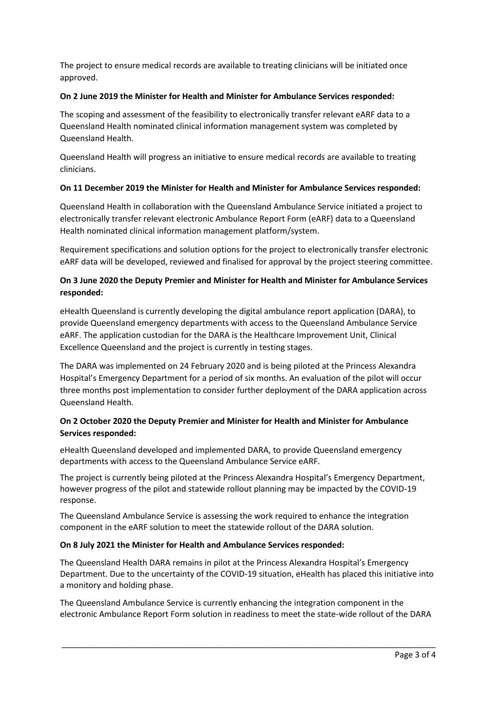The project to ensure medical records are available to treating clinicians will be initiated once approved.

### **On 2 June 2019 the Minister for Health and Minister for Ambulance Services responded:**

The scoping and assessment of the feasibility to electronically transfer relevant eARF data to a Queensland Health nominated clinical information management system was completed by Queensland Health.

Queensland Health will progress an initiative to ensure medical records are available to treating clinicians.

### **On 11 December 2019 the Minister for Health and Minister for Ambulance Services responded:**

Queensland Health in collaboration with the Queensland Ambulance Service initiated a project to electronically transfer relevant electronic Ambulance Report Form (eARF) data to a Queensland Health nominated clinical information management platform/system.

Requirement specifications and solution options for the project to electronically transfer electronic eARF data will be developed, reviewed and finalised for approval by the project steering committee.

# **On 3 June 2020 the Deputy Premier and Minister for Health and Minister for Ambulance Services responded:**

eHealth Queensland is currently developing the digital ambulance report application (DARA), to provide Queensland emergency departments with access to the Queensland Ambulance Service eARF. The application custodian for the DARA is the Healthcare Improvement Unit, Clinical Excellence Queensland and the project is currently in testing stages.

The DARA was implemented on 24 February 2020 and is being piloted at the Princess Alexandra Hospital's Emergency Department for a period of six months. An evaluation of the pilot will occur three months post implementation to consider further deployment of the DARA application across Queensland Health.

# **On 2 October 2020 the Deputy Premier and Minister for Health and Minister for Ambulance Services responded:**

eHealth Queensland developed and implemented DARA, to provide Queensland emergency departments with access to the Queensland Ambulance Service eARF.

The project is currently being piloted at the Princess Alexandra Hospital's Emergency Department, however progress of the pilot and statewide rollout planning may be impacted by the COVID-19 response.

The Queensland Ambulance Service is assessing the work required to enhance the integration component in the eARF solution to meet the statewide rollout of the DARA solution.

# **On 8 July 2021 the Minister for Health and Ambulance Services responded:**

The Queensland Health DARA remains in pilot at the Princess Alexandra Hospital's Emergency Department. Due to the uncertainty of the COVID-19 situation, eHealth has placed this initiative into a monitory and holding phase.

The Queensland Ambulance Service is currently enhancing the integration component in the electronic Ambulance Report Form solution in readiness to meet the state-wide rollout of the DARA